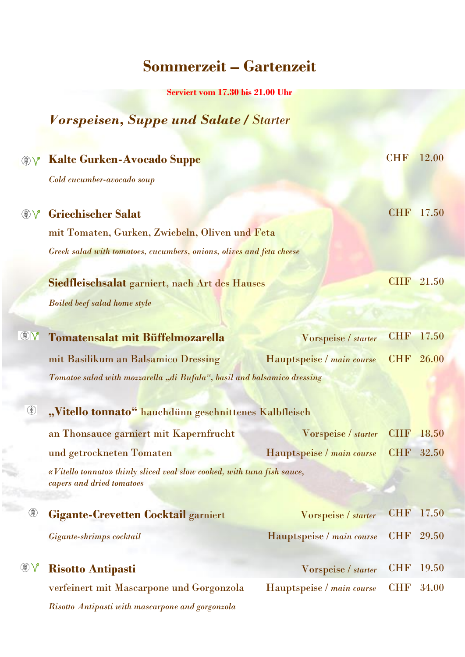## **Sommerzeit – Gartenzeit**

**Serviert vom 17.30 bis 21.00 Uhr** 

## *Vorspeisen, Suppe und Salate / Starter*

| ❀             | <b>Kalte Gurken-Avocado Suppe</b>                                                                                                                   |                           | <b>CHF</b> | 12.00 |
|---------------|-----------------------------------------------------------------------------------------------------------------------------------------------------|---------------------------|------------|-------|
|               | Cold cucumber-avocado soup                                                                                                                          |                           |            |       |
| ❀             | <b>Griechischer Salat</b><br>mit Tomaten, Gurken, Zwiebeln, Oliven und Feta<br>Greek salad with tomatoes, cucumbers, onions, olives and feta cheese |                           | <b>CHF</b> | 17.50 |
|               | Siedfleischsalat garniert, nach Art des Hauses<br><b>Boiled beef salad home style</b>                                                               |                           | <b>CHF</b> | 21.50 |
| $\circledast$ | <b>Tomatensalat mit Büffelmozarella</b>                                                                                                             | Vorspeise / starter       | <b>CHF</b> | 17.50 |
|               | mit Basilikum an Balsamico Dressing                                                                                                                 | Hauptspeise / main course | <b>CHF</b> | 26.00 |
|               | Tomatoe salad with mozzarella "di Bufala", basil and balsamico dressing                                                                             |                           |            |       |
| ❀             | "Vitello tonnato" hauchdünn geschnittenes Kalbfleisch                                                                                               |                           |            |       |
|               | an Thonsauce garniert mit Kapernfrucht                                                                                                              | Vorspeise / starter       | <b>CHF</b> | 18.50 |
|               | und getrockneten Tomaten                                                                                                                            | Hauptspeise / main course | <b>CHF</b> | 32.50 |
|               | «Vitello tonnato» thinly sliced veal slow cooked, with tuna fish sauce,<br>capers and dried tomatoes                                                |                           |            |       |
| ❀             | <b>Gigante-Crevetten Cocktail garniert</b>                                                                                                          | Vorspeise / starter       | <b>CHF</b> | 17.50 |
|               | Gigante-shrimps cocktail                                                                                                                            | Hauptspeise / main course | <b>CHF</b> | 29.50 |
|               | <b>Risotto Antipasti</b>                                                                                                                            | Vorspeise / starter       | <b>CHF</b> | 19.50 |
|               | verfeinert mit Mascarpone und Gorgonzola                                                                                                            | Hauptspeise / main course | <b>CHF</b> | 34.00 |
|               | Risotto Antipasti with mascarpone and gorgonzola                                                                                                    |                           |            |       |